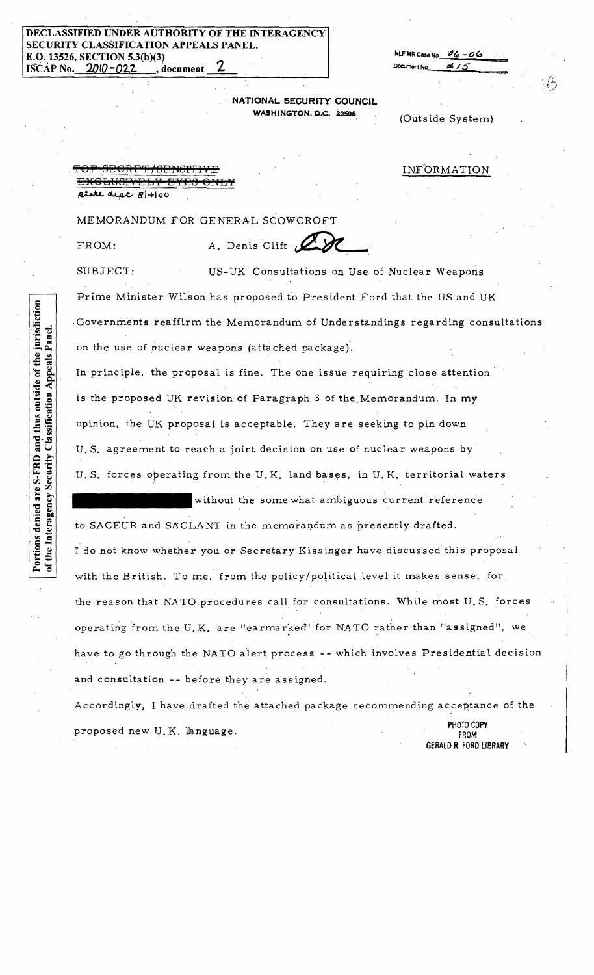## THE INTERAGENCY SECURITY CLASSIFICATION APPEALS PANEL. E.O. 13526, SECTION 5.3(b)(3) ISCAP No. 2010-022 , document

| NLF MR Case No $06 - 06$ |          |   |
|--------------------------|----------|---|
| Document No.             | .15<br>z |   |
|                          |          | ٠ |

NATIONAL SECURITY COUNCIL WASHINGTON, D.C. 20506

|  | (Outside System) |
|--|------------------|
|--|------------------|

INFORMATION

rtite dept 8/4/00

MEMORANDUM FOR GENERAL SCOWCROFT

FROM:

Portions denied are S-FRD and thus outside of the jurisdiction

of the Interagency Security Classification Appeals Panel.

<del>EXCLUSIVI</del>

A. Denis Clift 200

SUBJECT: US-UK Consultations on Use of Nuclear Weapons Prime Minister Wilson has proposed to President Ford that the US and UK Governments reaffirm the Memorandum of Understandings regarding consultations on the use of nuclear weapons (attached package).

In principle, the proposal is fine. The one issue requiring close attention is the proposed UK revision of Paragraph 3 of the Memorandum. In my opinion, the UK proposal is acceptable. They are seeking to pin down U.S. agreement to reach a joint decision on use of nuclear weapons by U.S. forces operating from the U.K. land bases, in U.K. territorial waters

without the some what ambiguous current reference to SACEUR and SACLANT in the memorandum as presently drafted. I do not know whether you or Secretary Kissinger have discussed this proposal with the British. To me, from the policy/political level it makes sense, for the reason that NATO procedures call for consultations. While most U.S. forces operating from the U.K. are "earmarked" for NATO rather than "assigned", we have to go through the NATO alert process -- which involves Presidential decision and consultation -- before they are assigned.

Accordingly, I have drafted the attached package recommending acceptance of the PHOTO COPY proposed new U.K. language. FROM